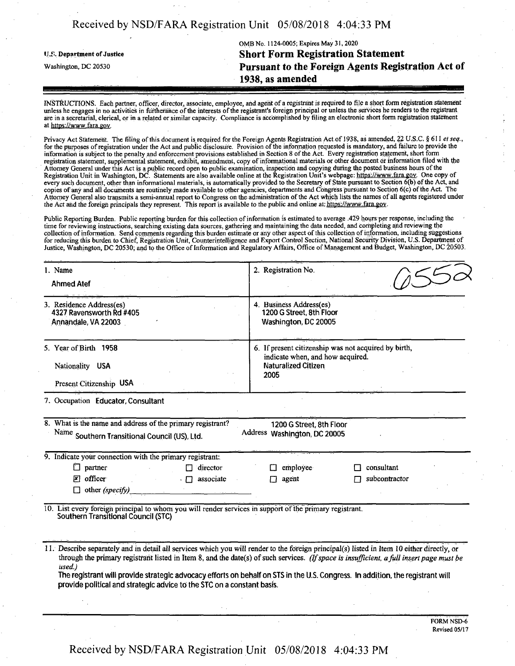| Received by NSD/FARA Registration Unit 05/08/2018 4:04:33 PM |  |  |  |
|--------------------------------------------------------------|--|--|--|
|--------------------------------------------------------------|--|--|--|

OMB No. 1124-0005; Expires May 31,2020 ij.s. Department ofJustice **Short Form Registration Statement** Washington, dc <sup>20530</sup> **Pursuant to the Foreign Agents Registration Act of 1938, as amended**

INSTRUCTIONS. Each partner, officer, director, associate, employee, and agent of a registrant is required to file a short form registration statement unless he engages in no activities in furtherance of the interests of the registrant's foreign principal or unless the services he renders to the registrant are in a secretarial, clerical, or in a related or similar capacity. Compliance is accomplished by filing an electronic short form registration statement at https://www.fara.gov.

Privacy Act Statement. The filing of this document is required for the Foreign Agents Registration Act of 1938, as amended, 22 U.S.C. § 611 *et seq.*, for the purposes ofregistration under the Act and public disclosure. Provision ofthe information requested is mandatory, and failure to provide the information is subject to the penalty and enforcement provisions established in Section 8 ofthe Act. Every registration statement, short form registration statement, supplemental statement, exhibit, amendment, copy ofinformational materials or other document or information filed with the Attorney General under this Act is a public record open to public examination, inspection and copying during the posted business hours ofthe Registration Unit in Washington, DC. Statements are also available online at the Registration Unit's webpage: https://www.fara.gov. One copy of every such document, other than informational materials, is automatically provided to the Secretary of State pursuant to Section 6(b) of the Act, and copies of any and all documents are routinely made available to other agencies, departments and Congress pursuant to Section 6(c) ofthe Act. The Attorney General also transmits a semi-annual report to Congress on the administration of the Act which lists the names of all agents registered under the Act and the foreign principals they represent. This report is available to the public and online at: https://www.fara.gov.

Public Reporting Burden. Public reporting burden for this collection ofinformation is estimated to average .429 hours per response, including the time for reviewing instructions, searching existing data sources, gathering and maintaining the data needed, and completing and reviewing the collection of information. Send comments regarding this burden estimate or any other aspect of this collection of information, including suggestions for reducing this burden to Chief, Registration Unit, Counterintelligence and Export Control Section, National Security Division, U.S. Department of Justice, Washington, DC 20530; and to the Office of Information and Regulatory Affairs, Office of Management and Budget, Washington, DC 20503.

| 1. Name<br><b>Ahmed Atef</b>                                                                                                                                                                                            | 2. Registration No.                                                                                                                                                                                                                                                                                                                                                                                                      |
|-------------------------------------------------------------------------------------------------------------------------------------------------------------------------------------------------------------------------|--------------------------------------------------------------------------------------------------------------------------------------------------------------------------------------------------------------------------------------------------------------------------------------------------------------------------------------------------------------------------------------------------------------------------|
| 3. Residence Address(es)<br>4327 Ravensworth Rd #405<br>Annandale, VA 22003                                                                                                                                             | 4. Business Address(es)<br>1200 G Street, 8th Floor<br>Washington, DC 20005                                                                                                                                                                                                                                                                                                                                              |
| 5. Year of Birth 1958<br>Nationality USA<br>Present Citizenship USA                                                                                                                                                     | 6. If present citizenship was not acquired by birth,<br>indicate when, and how acquired.<br><b>Naturalized Citizen</b><br>2005                                                                                                                                                                                                                                                                                           |
| 7. Occupation Educator, Consultant                                                                                                                                                                                      |                                                                                                                                                                                                                                                                                                                                                                                                                          |
| 8. What is the name and address of the primary registrant?<br>Name Southern Transitional Council (US), Ltd.                                                                                                             | 1200 G Street, 8th Floor<br>Address Washington, DC 20005                                                                                                                                                                                                                                                                                                                                                                 |
| 9. Indicate your connection with the primary registrant:<br>$\Box$ partner<br>$\Box$ director<br>$\mathbb{Z}$ officer<br>associate<br>$\cdot$ $\Box$<br>$\Box$ other (specify)<br>and the company of the company of the | employee<br>consultant<br>agent<br>subcontractor                                                                                                                                                                                                                                                                                                                                                                         |
| 10. List every foreign principal to whom you will render services in support of the primary registrant.<br>Southern Transitional Council (STC)                                                                          |                                                                                                                                                                                                                                                                                                                                                                                                                          |
| used.)<br>provide political and strategic advice to the STC on a constant basis.                                                                                                                                        | 11. Describe separately and in detail all services which you will render to the foreign principal(s) listed in Item 10 either directly, or<br>through the primary registrant listed in Item 8, and the date(s) of such services. (If space is insufficient, a full insert page must be<br>The registrant will provide strategic advocacy efforts on behalf on STS in the U.S. Congress. In addition, the registrant will |